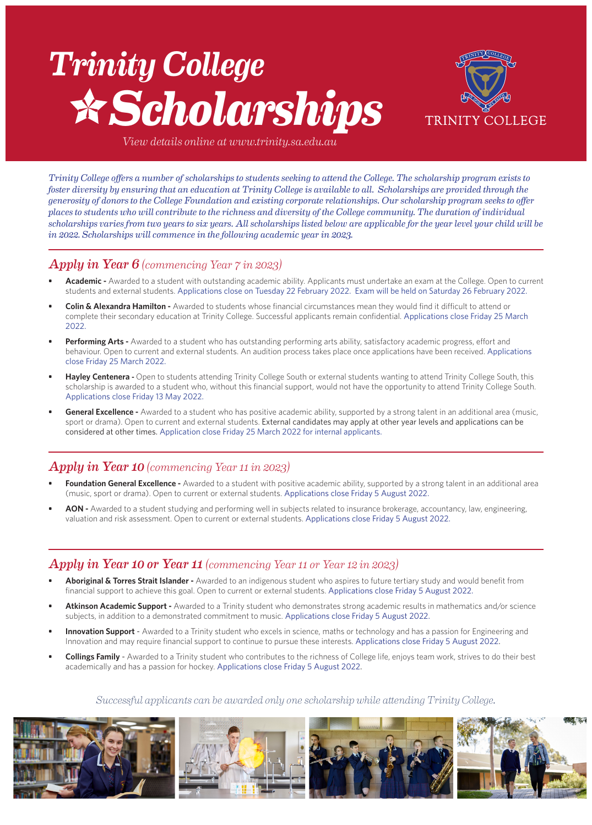# *Trinity College Scholarships*



*View details online at www.trinity.sa.edu.au*

*Trinity College offers a number of scholarships to students seeking to attend the College. The scholarship program exists to foster diversity by ensuring that an education at Trinity College is available to all. Scholarships are provided through the generosity of donors to the College Foundation and existing corporate relationships. Our scholarship program seeks to offer places to students who will contribute to the richness and diversity of the College community. The duration of individual scholarships varies from two years to six years. All scholarships listed below are applicable for the year level your child will be in 2022. Scholarships will commence in the following academic year in 2023.*

### *Apply in Year 6 (commencing Year 7 in 2023)*

- **• Academic** Awarded to a student with outstanding academic ability. Applicants must undertake an exam at the College. Open to current students and external students. Applications close on Tuesday 22 February 2022. Exam will be held on Saturday 26 February 2022.
- **• Colin & Alexandra Hamilton** Awarded to students whose financial circumstances mean they would find it difficult to attend or complete their secondary education at Trinity College. Successful applicants remain confidential. Applications close Friday 25 March 2022.
- **• Performing Arts** Awarded to a student who has outstanding performing arts ability, satisfactory academic progress, effort and behaviour. Open to current and external students. An audition process takes place once applications have been received. Applications close Friday 25 March 2022.
- **• Hayley Centenera** Open to students attending Trinity College South or external students wanting to attend Trinity College South, this scholarship is awarded to a student who, without this financial support, would not have the opportunity to attend Trinity College South. Applications close Friday 13 May 2022.
- **General Excellence -** Awarded to a student who has positive academic ability, supported by a strong talent in an additional area (music, sport or drama). Open to current and external students. External candidates may apply at other year levels and applications can be considered at other times. Application close Friday 25 March 2022 for internal applicants.

## *Apply in Year 10 (commencing Year 11 in 2023)*

- **• Foundation General Excellence** Awarded to a student with positive academic ability, supported by a strong talent in an additional area (music, sport or drama). Open to current or external students. Applications close Friday 5 August 2022.
- **• AON** Awarded to a student studying and performing well in subjects related to insurance brokerage, accountancy, law, engineering, valuation and risk assessment. Open to current or external students. Applications close Friday 5 August 2022.

### *Apply in Year 10 or Year 11 (commencing Year 11 or Year 12 in 2023)*

- **• Aboriginal & Torres Strait Islander** Awarded to an indigenous student who aspires to future tertiary study and would benefit from financial support to achieve this goal. Open to current or external students. Applications close Friday 5 August 2022.
- **• Atkinson Academic Support** Awarded to a Trinity student who demonstrates strong academic results in mathematics and/or science subjects, in addition to a demonstrated commitment to music. Applications close Friday 5 August 2022.
- **Innovation Support** Awarded to a Trinity student who excels in science, maths or technology and has a passion for Engineering and Innovation and may require financial support to continue to pursue these interests. Applications close Friday 5 August 2022.
- **• Collings Family** Awarded to a Trinity student who contributes to the richness of College life, enjoys team work, strives to do their best academically and has a passion for hockey. Applications close Friday 5 August 2022.

### *Successful applicants can be awarded only one scholarship while attending Trinity College.*

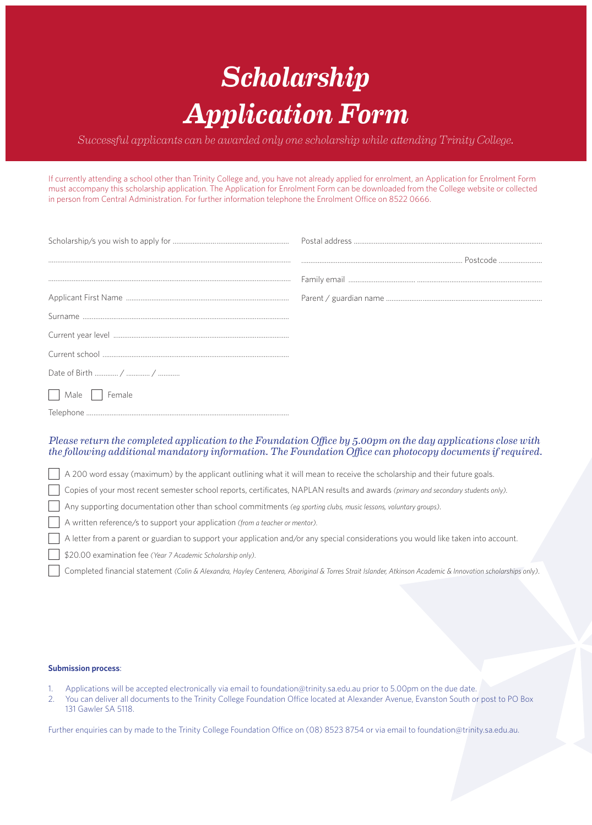# *Scholarship Application Form*

*Successful applicants can be awarded only one scholarship while attending Trinity College.* 

If currently attending a school other than Trinity College and, you have not already applied for enrolment, an Application for Enrolment Form must accompany this scholarship application. The Application for Enrolment Form can be downloaded from the College website or collected in person from Central Administration. For further information telephone the Enrolment Office on 8522 0666.

| Male<br>Female |  |
|----------------|--|
|                |  |

### *Please return the completed application to the Foundation Office by 5.00pm on the day applications close with the following additional mandatory information. The Foundation Office can photocopy documents if required.*

A 200 word essay (maximum) by the applicant outlining what it will mean to receive the scholarship and their future goals.

Copies of your most recent semester school reports, certificates, NAPLAN results and awards *(primary and secondary students only).* 

Any supporting documentation other than school commitments *(eg sporting clubs, music lessons, voluntary groups)*.

A written reference/s to support your application *(from a teacher or mentor)*.

A letter from a parent or guardian to support your application and/or any special considerations you would like taken into account.

\$20.00 examination fee *(Year 7 Academic Scholarship only)*.

Completed financial statement *(Colin & Alexandra, Hayley Centenera, Aboriginal & Torres Strait Islander, Atkinson Academic & Innovation scholarships only)*.

#### **Submission process**:

- 1. Applications will be accepted electronically via email to foundation@trinity.sa.edu.au prior to 5.00pm on the due date.
- 2. You can deliver all documents to the Trinity College Foundation Office located at Alexander Avenue, Evanston South or post to PO Box 131 Gawler SA 5118.

Further enquiries can by made to the Trinity College Foundation Office on (08) 8523 8754 or via email to foundation@trinity.sa.edu.au.